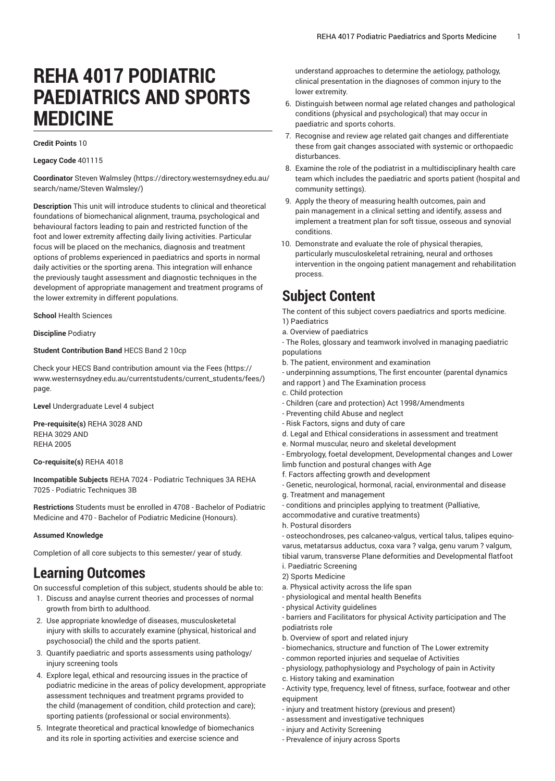# **REHA 4017 PODIATRIC PAEDIATRICS AND SPORTS MEDICINE**

#### **Credit Points** 10

**Legacy Code** 401115

**Coordinator** Steven [Walmsley \(https://directory.westernsydney.edu.au/](https://directory.westernsydney.edu.au/search/name/Steven Walmsley/) [search/name/Steven](https://directory.westernsydney.edu.au/search/name/Steven Walmsley/) Walmsley/)

**Description** This unit will introduce students to clinical and theoretical foundations of biomechanical alignment, trauma, psychological and behavioural factors leading to pain and restricted function of the foot and lower extremity affecting daily living activities. Particular focus will be placed on the mechanics, diagnosis and treatment options of problems experienced in paediatrics and sports in normal daily activities or the sporting arena. This integration will enhance the previously taught assessment and diagnostic techniques in the development of appropriate management and treatment programs of the lower extremity in different populations.

**School** Health Sciences

**Discipline** Podiatry

#### **Student Contribution Band** HECS Band 2 10cp

Check your HECS Band contribution amount via the [Fees \(https://](https://www.westernsydney.edu.au/currentstudents/current_students/fees/) [www.westernsydney.edu.au/currentstudents/current\\_students/fees/\)](https://www.westernsydney.edu.au/currentstudents/current_students/fees/) page.

**Level** Undergraduate Level 4 subject

**Pre-requisite(s)** [REHA](/search/?P=REHA%203028) 3028 AND [REHA](/search/?P=REHA%203029) 3029 AND [REHA](/search/?P=REHA%202005) 2005

**Co-requisite(s)** [REHA](/search/?P=REHA%204018) 4018

**Incompatible Subjects** REHA 7024 - Podiatric Techniques 3A REHA 7025 - Podiatric Techniques 3B

**Restrictions** Students must be enrolled in 4708 - Bachelor of Podiatric Medicine and 470 - Bachelor of Podiatric Medicine (Honours).

#### **Assumed Knowledge**

Completion of all core subjects to this semester/ year of study.

### **Learning Outcomes**

On successful completion of this subject, students should be able to:

- 1. Discuss and anaylse current theories and processes of normal growth from birth to adulthood.
- 2. Use appropriate knowledge of diseases, musculosketetal injury with skills to accurately examine (physical, historical and psychosocial) the child and the sports patient.
- 3. Quantify paediatric and sports assessments using pathology/ injury screening tools
- 4. Explore legal, ethical and resourcing issues in the practice of podiatric medicine in the areas of policy development, appropriate assessment techniques and treatment prgrams provided to the child (management of condition, child protection and care); sporting patients (professional or social environments).
- 5. Integrate theoretical and practical knowledge of biomechanics and its role in sporting activities and exercise science and

understand approaches to determine the aetiology, pathology, clinical presentation in the diagnoses of common injury to the lower extremity.

- 6. Distinguish between normal age related changes and pathological conditions (physical and psychological) that may occur in paediatric and sports cohorts.
- 7. Recognise and review age related gait changes and differentiate these from gait changes associated with systemic or orthopaedic disturbances.
- 8. Examine the role of the podiatrist in a multidisciplinary health care team which includes the paediatric and sports patient (hospital and community settings).
- 9. Apply the theory of measuring health outcomes, pain and pain management in a clinical setting and identify, assess and implement a treatment plan for soft tissue, osseous and synovial conditions.
- 10. Demonstrate and evaluate the role of physical therapies, particularly musculoskeletal retraining, neural and orthoses intervention in the ongoing patient management and rehabilitation process.

# **Subject Content**

The content of this subject covers paediatrics and sports medicine. 1) Paediatrics

a. Overview of paediatrics

- The Roles, glossary and teamwork involved in managing paediatric populations

b. The patient, environment and examination

- underpinning assumptions, The first encounter (parental dynamics and rapport ) and The Examination process

- c. Child protection
- Children (care and protection) Act 1998/Amendments
- Preventing child Abuse and neglect
- Risk Factors, signs and duty of care
- d. Legal and Ethical considerations in assessment and treatment
- e. Normal muscular, neuro and skeletal development

- Embryology, foetal development, Developmental changes and Lower limb function and postural changes with Age

- f. Factors affecting growth and development
- Genetic, neurological, hormonal, racial, environmental and disease
- g. Treatment and management

- conditions and principles applying to treatment (Palliative,

- accommodative and curative treatments)
- h. Postural disorders

- osteochondroses, pes calcaneo-valgus, vertical talus, talipes equinovarus, metatarsus adductus, coxa vara ? valga, genu varum ? valgum, tibial varum, transverse Plane deformities and Developmental flatfoot i. Paediatric Screening

- 2) Sports Medicine
- a. Physical activity across the life span
- physiological and mental health Benefits
- physical Activity guidelines

- barriers and Facilitators for physical Activity participation and The podiatrists role

- b. Overview of sport and related injury
- biomechanics, structure and function of The Lower extremity
- common reported injuries and sequelae of Activities
- physiology, pathophysiology and Psychology of pain in Activity
- c. History taking and examination
- Activity type, frequency, level of fitness, surface, footwear and other equipment
- injury and treatment history (previous and present)
- assessment and investigative techniques
- injury and Activity Screening
- Prevalence of injury across Sports